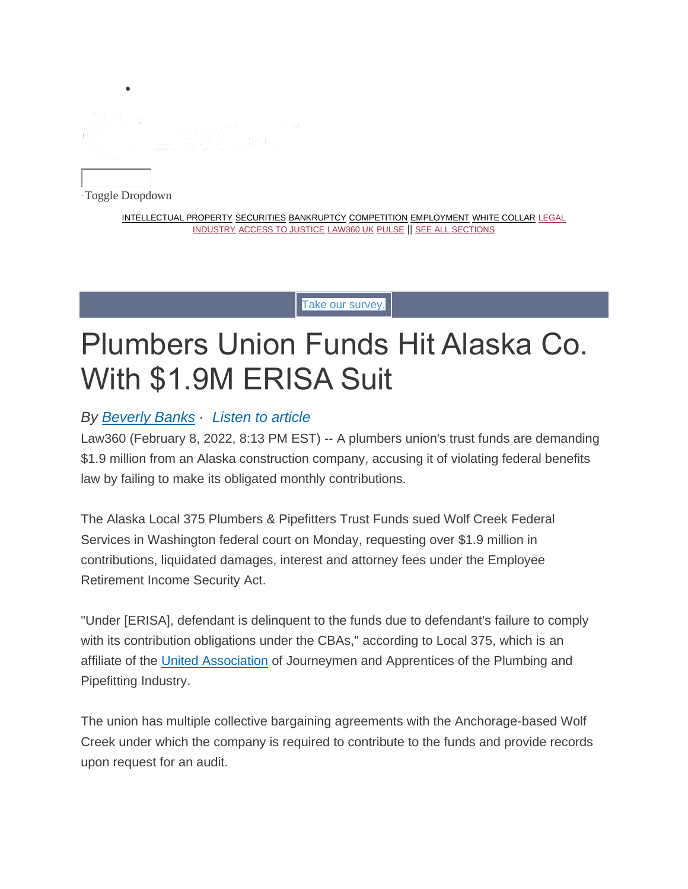

-Toggle Dropdown

INTELLECTUAL PROPERTY SECURITIES BANKRUPTCY COMPETITION EMPLOYMENT WHITE COLLAR LEGAL INDUSTRY ACCESS TO JUSTICE LAW360 UK PULSE || SEE ALL SECTIONS

Take our survey.

# Plumbers Union Funds Hit Alaska Co. With \$1.9M ERISA Suit

# *By Beverly Banks · Listen to article*

Law360 (February 8, 2022, 8:13 PM EST) -- A plumbers union's trust funds are demanding \$1.9 million from an Alaska construction company, accusing it of violating federal benefits law by failing to make its obligated monthly contributions.

The Alaska Local 375 Plumbers & Pipefitters Trust Funds sued Wolf Creek Federal Services in Washington federal court on Monday, requesting over \$1.9 million in contributions, liquidated damages, interest and attorney fees under the Employee Retirement Income Security Act.

"Under [ERISA], defendant is delinquent to the funds due to defendant's failure to comply with its contribution obligations under the CBAs," according to Local 375, which is an affiliate of the United Association of Journeymen and Apprentices of the Plumbing and Pipefitting Industry.

The union has multiple collective bargaining agreements with the Anchorage-based Wolf Creek under which the company is required to contribute to the funds and provide records upon request for an audit.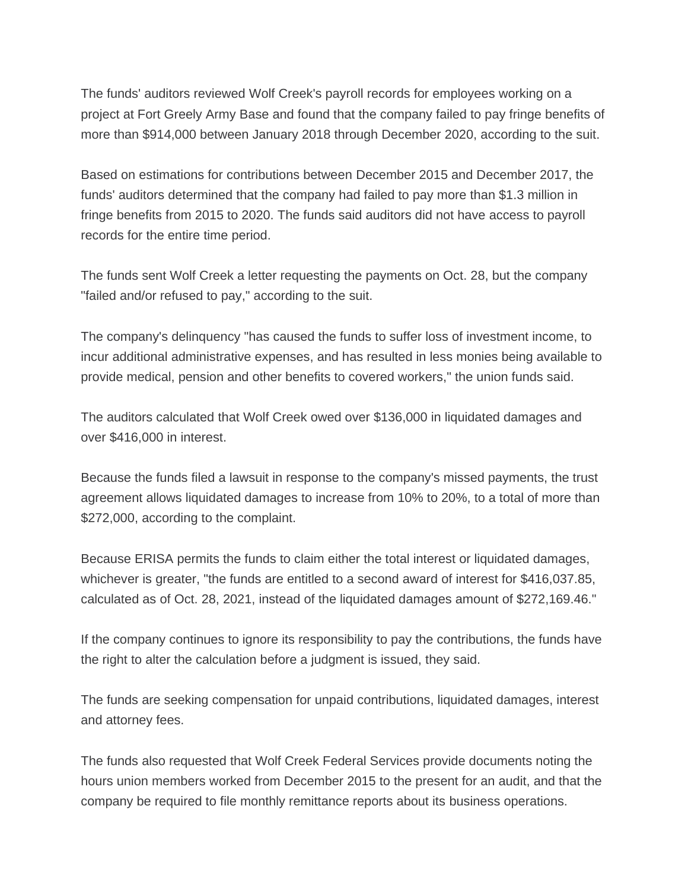The funds' auditors reviewed Wolf Creek's payroll records for employees working on a project at Fort Greely Army Base and found that the company failed to pay fringe benefits of more than \$914,000 between January 2018 through December 2020, according to the suit.

Based on estimations for contributions between December 2015 and December 2017, the funds' auditors determined that the company had failed to pay more than \$1.3 million in fringe benefits from 2015 to 2020. The funds said auditors did not have access to payroll records for the entire time period.

The funds sent Wolf Creek a letter requesting the payments on Oct. 28, but the company "failed and/or refused to pay," according to the suit.

The company's delinquency "has caused the funds to suffer loss of investment income, to incur additional administrative expenses, and has resulted in less monies being available to provide medical, pension and other benefits to covered workers," the union funds said.

The auditors calculated that Wolf Creek owed over \$136,000 in liquidated damages and over \$416,000 in interest.

Because the funds filed a lawsuit in response to the company's missed payments, the trust agreement allows liquidated damages to increase from 10% to 20%, to a total of more than \$272,000, according to the complaint.

Because ERISA permits the funds to claim either the total interest or liquidated damages, whichever is greater, "the funds are entitled to a second award of interest for \$416,037.85, calculated as of Oct. 28, 2021, instead of the liquidated damages amount of \$272,169.46."

If the company continues to ignore its responsibility to pay the contributions, the funds have the right to alter the calculation before a judgment is issued, they said.

The funds are seeking compensation for unpaid contributions, liquidated damages, interest and attorney fees.

The funds also requested that Wolf Creek Federal Services provide documents noting the hours union members worked from December 2015 to the present for an audit, and that the company be required to file monthly remittance reports about its business operations.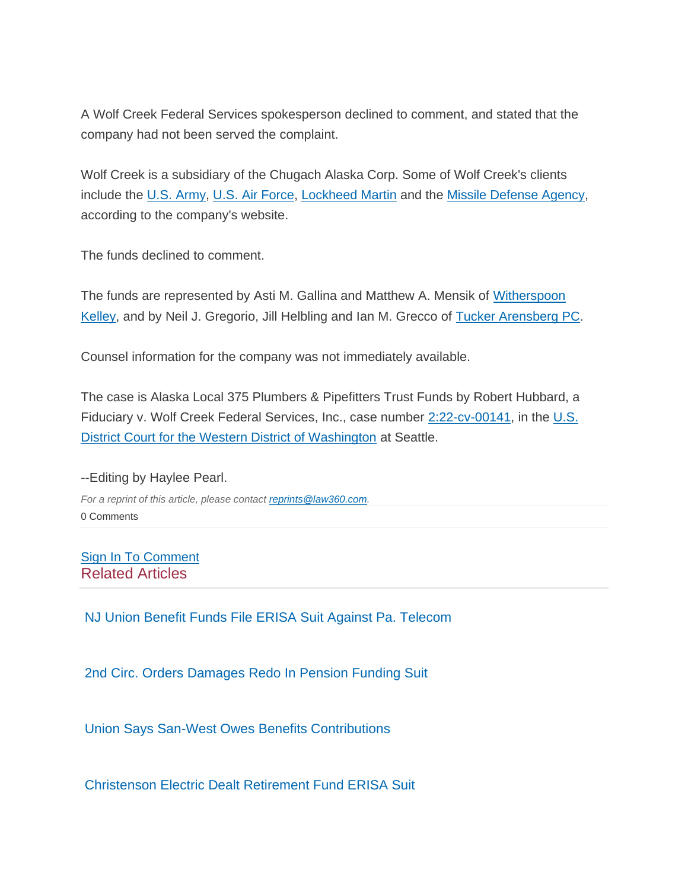A Wolf Creek Federal Services spokesperson declined to comment, and stated that the company had not been served the complaint.

Wolf Creek is a subsidiary of the Chugach Alaska Corp. Some of Wolf Creek's clients include the U.S. Army, U.S. Air Force, Lockheed Martin and the Missile Defense Agency, according to the company's website.

The funds declined to comment.

The funds are represented by Asti M. Gallina and Matthew A. Mensik of Witherspoon Kelley, and by Neil J. Gregorio, Jill Helbling and Ian M. Grecco of Tucker Arensberg PC.

Counsel information for the company was not immediately available.

The case is Alaska Local 375 Plumbers & Pipefitters Trust Funds by Robert Hubbard, a Fiduciary v. Wolf Creek Federal Services, Inc., case number 2:22-cv-00141, in the U.S. District Court for the Western District of Washington at Seattle.

# --Editing by Haylee Pearl.

*For a reprint of this article, please contact reprints@law360.com.* 0 Comments

# Sign In To Comment Related Articles

NJ Union Benefit Funds File ERISA Suit Against Pa. Telecom

2nd Circ. Orders Damages Redo In Pension Funding Suit

Union Says San-West Owes Benefits Contributions

Christenson Electric Dealt Retirement Fund ERISA Suit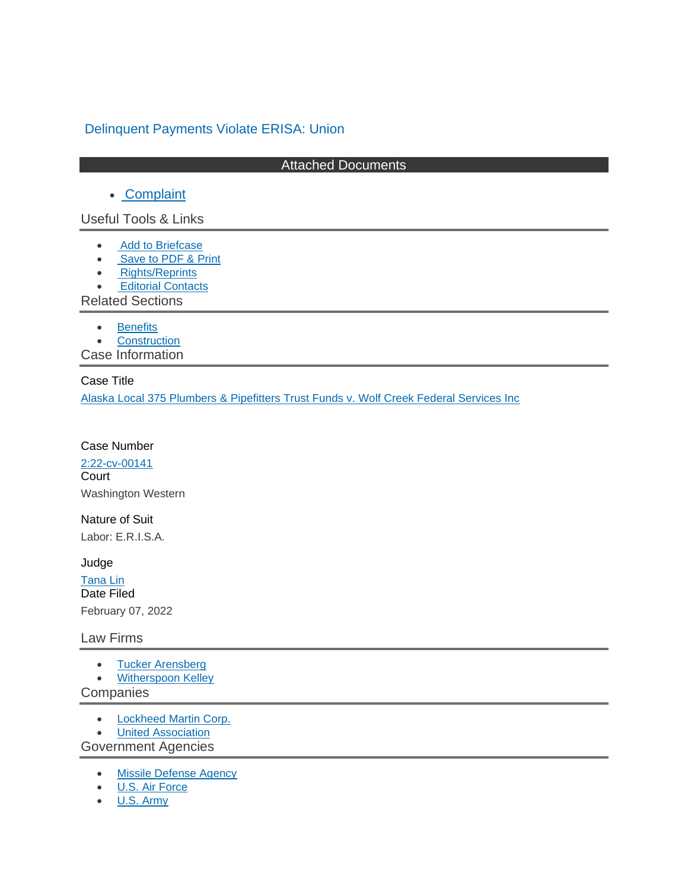# Delinquent Payments Violate ERISA: Union

#### Attached Documents

## • Complaint

Useful Tools & Links

- Add to Briefcase
- Save to PDF & Print
- Rights/Reprints
- **Editorial Contacts**

Related Sections

- Benefits
- **Construction**

Case Information

#### Case Title

Alaska Local 375 Plumbers & Pipefitters Trust Funds v. Wolf Creek Federal Services Inc

#### Case Number

2:22-cv-00141 **Court** Washington Western

Nature of Suit

Labor: E.R.I.S.A.

#### Judge

Tana Lin Date Filed February 07, 2022

#### Law Firms

- Tucker Arensberg
- **Witherspoon Kelley**

**Companies** 

- Lockheed Martin Corp.
- **United Association**

Government Agencies

- Missile Defense Agency
- U.S. Air Force
- U.S. Army